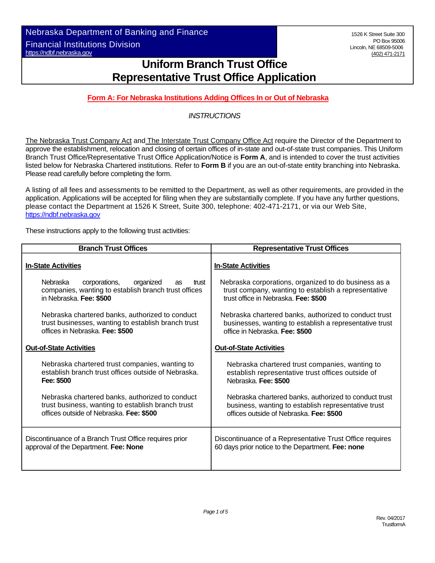Nebraska Department of Banking and Finance Financial Institutions Division https://ndbf.nebraska.gov

# **Uniform Branch Trust Office Representative Trust Office Application**

## **Form A: For Nebraska Institutions Adding Offices In or Out of Nebraska**

### *INSTRUCTIONS*

The Nebraska Trust Company Act and The Interstate Trust Company Office Act require the Director of the Department to approve the establishment, relocation and closing of certain offices of in-state and out-of-state trust companies. This Uniform Branch Trust Office/Representative Trust Office Application/Notice is **Form A**, and is intended to cover the trust activities listed below for Nebraska Chartered institutions. Refer to **Form B** if you are an out-of-state entity branching into Nebraska. Please read carefully before completing the form.

A listing of all fees and assessments to be remitted to the Department, as well as other requirements, are provided in the application. Applications will be accepted for filing when they are substantially complete. If you have any further questions, please contact the Department at 1526 K Street, Suite 300, telephone: 402-471-2171, or via our Web Site, https://ndbf.nebraska.gov

These instructions apply to the following trust activities:

| <b>Branch Trust Offices</b>                                                                                                                     | <b>Representative Trust Offices</b>                                                                                                                  |  |  |
|-------------------------------------------------------------------------------------------------------------------------------------------------|------------------------------------------------------------------------------------------------------------------------------------------------------|--|--|
| <b>In-State Activities</b>                                                                                                                      | <b>In-State Activities</b>                                                                                                                           |  |  |
| <b>Nebraska</b><br>corporations,<br>organized<br>trust<br>as<br>companies, wanting to establish branch trust offices<br>in Nebraska. Fee: \$500 | Nebraska corporations, organized to do business as a<br>trust company, wanting to establish a representative<br>trust office in Nebraska. Fee: \$500 |  |  |
| Nebraska chartered banks, authorized to conduct                                                                                                 | Nebraska chartered banks, authorized to conduct trust                                                                                                |  |  |
| trust businesses, wanting to establish branch trust                                                                                             | businesses, wanting to establish a representative trust                                                                                              |  |  |
| offices in Nebraska. Fee: \$500                                                                                                                 | office in Nebraska. Fee: \$500                                                                                                                       |  |  |
| <b>Out-of-State Activities</b>                                                                                                                  | <b>Out-of-State Activities</b>                                                                                                                       |  |  |
| Nebraska chartered trust companies, wanting to                                                                                                  | Nebraska chartered trust companies, wanting to                                                                                                       |  |  |
| establish branch trust offices outside of Nebraska.                                                                                             | establish representative trust offices outside of                                                                                                    |  |  |
| Fee: \$500                                                                                                                                      | Nebraska. Fee: \$500                                                                                                                                 |  |  |
| Nebraska chartered banks, authorized to conduct                                                                                                 | Nebraska chartered banks, authorized to conduct trust                                                                                                |  |  |
| trust business, wanting to establish branch trust                                                                                               | business, wanting to establish representative trust                                                                                                  |  |  |
| offices outside of Nebraska. Fee: \$500                                                                                                         | offices outside of Nebraska. Fee: \$500                                                                                                              |  |  |
| Discontinuance of a Branch Trust Office requires prior                                                                                          | Discontinuance of a Representative Trust Office requires                                                                                             |  |  |
| approval of the Department. Fee: None                                                                                                           | 60 days prior notice to the Department. Fee: none                                                                                                    |  |  |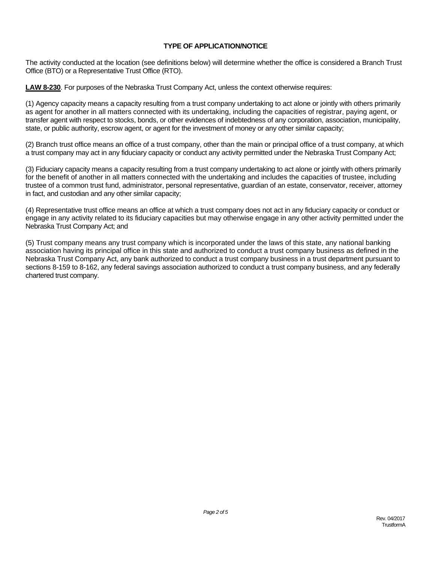#### **TYPE OF APPLICATION/NOTICE**

The activity conducted at the location (see definitions below) will determine whether the office is considered a Branch Trust Office (BTO) or a Representative Trust Office (RTO).

**LAW 8-230**. For purposes of the Nebraska Trust Company Act, unless the context otherwise requires:

(1) Agency capacity means a capacity resulting from a trust company undertaking to act alone or jointly with others primarily as agent for another in all matters connected with its undertaking, including the capacities of registrar, paying agent, or transfer agent with respect to stocks, bonds, or other evidences of indebtedness of any corporation, association, municipality, state, or public authority, escrow agent, or agent for the investment of money or any other similar capacity;

(2) Branch trust office means an office of a trust company, other than the main or principal office of a trust company, at which a trust company may act in any fiduciary capacity or conduct any activity permitted under the Nebraska Trust Company Act;

(3) Fiduciary capacity means a capacity resulting from a trust company undertaking to act alone or jointly with others primarily for the benefit of another in all matters connected with the undertaking and includes the capacities of trustee, including trustee of a common trust fund, administrator, personal representative, guardian of an estate, conservator, receiver, attorney in fact, and custodian and any other similar capacity;

(4) Representative trust office means an office at which a trust company does not act in any fiduciary capacity or conduct or engage in any activity related to its fiduciary capacities but may otherwise engage in any other activity permitted under the Nebraska Trust Company Act; and

(5) Trust company means any trust company which is incorporated under the laws of this state, any national banking association having its principal office in this state and authorized to conduct a trust company business as defined in the Nebraska Trust Company Act, any bank authorized to conduct a trust company business in a trust department pursuant to sections 8-159 to 8-162, any federal savings association authorized to conduct a trust company business, and any federally chartered trust company.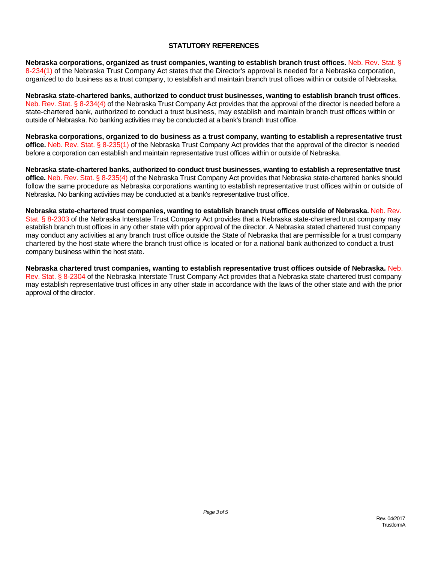#### **STATUTORY REFERENCES**

**Nebraska corporations, organized as trust companies, wanting to establish branch trust offices.** Neb. Rev. Stat. § 8-234(1) of the Nebraska Trust Company Act states that the Director's approval is needed for a Nebraska corporation, organized to do business as a trust company, to establish and maintain branch trust offices within or outside of Nebraska.

**Nebraska state-chartered banks, authorized to conduct trust businesses, wanting to establish branch trust offices**. Neb. Rev. Stat. § 8-234(4) of the Nebraska Trust Company Act provides that the approval of the director is needed before a state-chartered bank, authorized to conduct a trust business, may establish and maintain branch trust offices within or outside of Nebraska. No banking activities may be conducted at a bank's branch trust office.

**Nebraska corporations, organized to do business as a trust company, wanting to establish a representative trust office.** Neb. Rev. Stat. § 8-235(1) of the Nebraska Trust Company Act provides that the approval of the director is needed before a corporation can establish and maintain representative trust offices within or outside of Nebraska.

**Nebraska state-chartered banks, authorized to conduct trust businesses, wanting to establish a representative trust office.** Neb. Rev. Stat. § 8-235(4) of the Nebraska Trust Company Act provides that Nebraska state-chartered banks should follow the same procedure as Nebraska corporations wanting to establish representative trust offices within or outside of Nebraska. No banking activities may be conducted at a bank's representative trust office.

**Nebraska state-chartered trust companies, wanting to establish branch trust offices outside of Nebraska.** Neb. Rev. Stat. § 8-2303 of the Nebraska Interstate Trust Company Act provides that a Nebraska state-chartered trust company may establish branch trust offices in any other state with prior approval of the director. A Nebraska stated chartered trust company may conduct any activities at any branch trust office outside the State of Nebraska that are permissible for a trust company chartered by the host state where the branch trust office is located or for a national bank authorized to conduct a trust company business within the host state.

**Nebraska chartered trust companies, wanting to establish representative trust offices outside of Nebraska.** Neb. Rev. Stat. § 8-2304 of the Nebraska Interstate Trust Company Act provides that a Nebraska state chartered trust company may establish representative trust offices in any other state in accordance with the laws of the other state and with the prior approval of the director.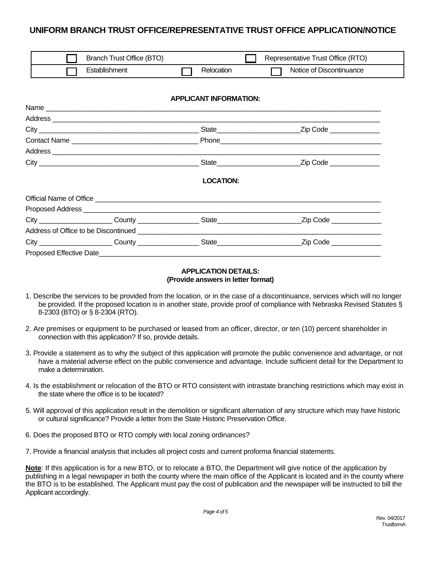# **UNIFORM BRANCH TRUST OFFICE/REPRESENTATIVE TRUST OFFICE APPLICATION/NOTICE**

| Branch Trust Office (BTO) |            | Representative Trust Office (RTO) |
|---------------------------|------------|-----------------------------------|
| Establishment             | Relocation | Notice of Discontinuance          |

#### **APPLICANT INFORMATION:**

| Contact Name |  |                                      |                         |
|--------------|--|--------------------------------------|-------------------------|
|              |  |                                      |                         |
|              |  | State                                | Zip Code                |
|              |  | <b>LOCATION:</b>                     |                         |
|              |  |                                      |                         |
|              |  |                                      |                         |
|              |  | City County County State State State | Zip Code ______________ |
|              |  |                                      |                         |
|              |  |                                      |                         |
|              |  |                                      |                         |

#### **APPLICATION DETAILS: (Provide answers in letter format)**

- 1. Describe the services to be provided from the location, or in the case of a discontinuance, services which will no longer be provided. If the proposed location is in another state, provide proof of compliance with Nebraska Revised Statutes § 8-2303 (BTO) or § 8-2304 (RTO).
- 2. Are premises or equipment to be purchased or leased from an officer, director, or ten (10) percent shareholder in connection with this application? If so, provide details.
- 3. Provide a statement as to why the subject of this application will promote the public convenience and advantage, or not have a material adverse effect on the public convenience and advantage. Include sufficient detail for the Department to make a determination.
- 4. Is the establishment or relocation of the BTO or RTO consistent with intrastate branching restrictions which may exist in the state where the office is to be located?
- 5. Will approval of this application result in the demolition or significant alternation of any structure which may have historic or cultural significance? Provide a letter from the State Historic Preservation Office.
- 6. Does the proposed BTO or RTO comply with local zoning ordinances?
- 7. Provide a financial analysis that includes all project costs and current proforma financial statements.

**Note**: If this application is for a new BTO, or to relocate a BTO, the Department will give notice of the application by publishing in a legal newspaper in both the county where the main office of the Applicant is located and in the county where the BTO is to be established. The Applicant must pay the cost of publication and the newspaper will be instructed to bill the Applicant accordingly.